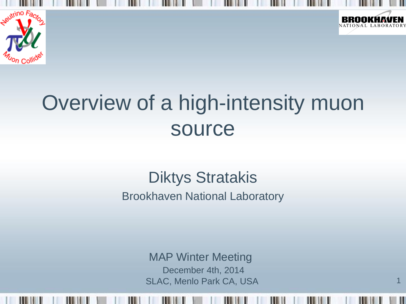



1

### Overview of a high-intensity muon source

#### Diktys Stratakis

Brookhaven National Laboratory

MAP Winter Meeting December 4th, 2014 SLAC, Menlo Park CA, USA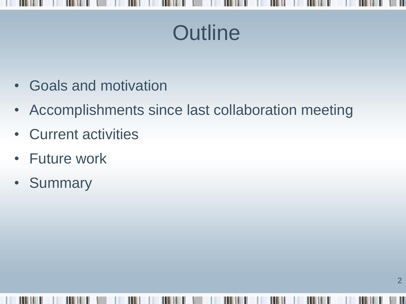

- Goals and motivation
- Accomplishments since last collaboration meeting
- Current activities
- Future work
- Summary

Ш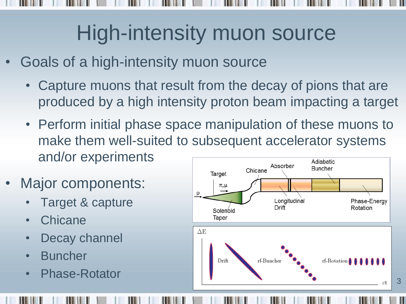### High-intensity muon source

- Goals of a high-intensity muon source
	- Capture muons that result from the decay of pions that are produced by a high intensity proton beam impacting a target
	- Perform initial phase space manipulation of these muons to make them well-suited to subsequent accelerator systems and/or experiments Adiabatic
- Major components:
	- Target & capture
	- **Chicane**
	- Decay channel
	- **Buncher**
	- Phase-Rotator



3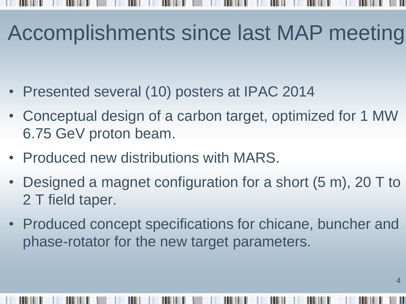## Accomplishments since last MAP meeting

- Presented several (10) posters at IPAC 2014
- Conceptual design of a carbon target, optimized for 1 MW 6.75 GeV proton beam.
- Produced new distributions with MARS.
- Designed a magnet configuration for a short (5 m), 20 T to 2 T field taper.
- Produced concept specifications for chicane, buncher and phase-rotator for the new target parameters.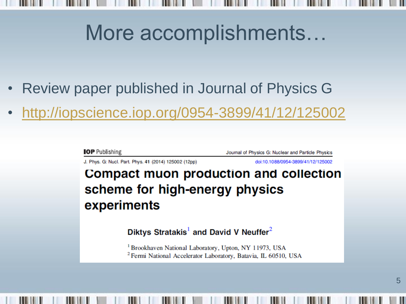# More accomplishments…

- Review paper published in Journal of Physics G
- <http://iopscience.iop.org/0954-3899/41/12/125002>

**IOP** Publishing

Journal of Physics G: Nuclear and Particle Physics

J. Phys. G: Nucl. Part. Phys. 41 (2014) 125002 (12pp)

doi:10.1088/0954-3899/41/12/125002

#### **Compact muon production and collection** scheme for high-energy physics experiments

Diktys Stratakis<sup>1</sup> and David V Neuffer<sup>2</sup>

<sup>1</sup> Brookhaven National Laboratory, Upton, NY 11973, USA <sup>2</sup> Fermi National Accelerator Laboratory, Batavia, IL 60510, USA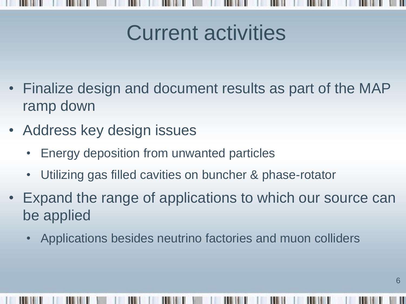# Current activities

- Finalize design and document results as part of the MAP ramp down
- Address key design issues
	- Energy deposition from unwanted particles
	- Utilizing gas filled cavities on buncher & phase-rotator
- Expand the range of applications to which our source can be applied
	- Applications besides neutrino factories and muon colliders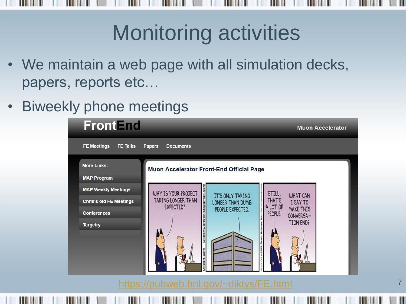### Monitoring activities

- We maintain a web page with all simulation decks, papers, reports etc…
- Biweekly phone meetings

| <b>FrontEnd</b>                                              |                                                                                                                   | <b>Muon Accelerator</b>                              |
|--------------------------------------------------------------|-------------------------------------------------------------------------------------------------------------------|------------------------------------------------------|
| <b>FE Meetings</b><br><b>FE Talks</b>                        | <b>Papers</b><br><b>Documents</b>                                                                                 |                                                      |
| <b>More Links:</b><br><b>MAP Program</b>                     | <b>Muon Accelerator Front-End Official Page</b>                                                                   |                                                      |
| <b>MAP Weekly Meetings</b><br><b>Chris's old FE Meetings</b> | @gmail.c<br>WHY IS YOUR PROJECT<br>IT'S ONLY TAKING<br>TAKING LONGER THAN<br>LONGER THAN DUMB<br><b>EXPECTED?</b> | STILL,<br>WHAT CAN<br>THAT'S<br>I SAY TO<br>A LOT OF |
| <b>Conferences</b><br><b>Targetry</b>                        | PEOPLE EXPECTED.                                                                                                  | MAKE THIS<br>PEOPLE.<br>CONVERSA-<br>TION END?       |
|                                                              |                                                                                                                   |                                                      |

<https://pubweb.bnl.gov/~diktys/FE.html>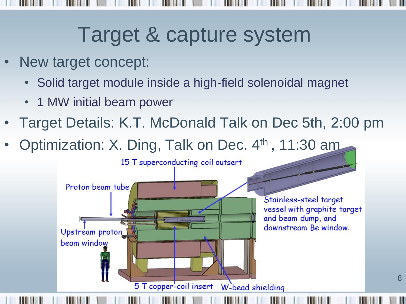### Target & capture system

- New target concept:
	- Solid target module inside a high-field solenoidal magnet
	- 1 MW initial beam power
- Target Details: K.T. McDonald Talk on Dec 5th, 2:00 pm
- Optimization: X. Ding, Talk on Dec. 4<sup>th</sup>, 11:30 am

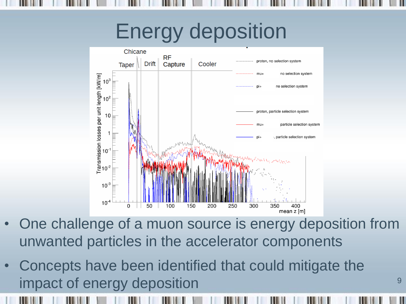## Energy deposition



- One challenge of a muon source is energy deposition from unwanted particles in the accelerator components
- Concepts have been identified that could mitigate the impact of energy deposition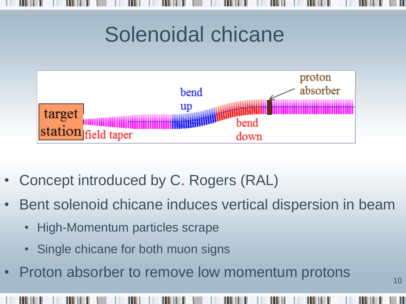#### Solenoidal chicane



- Concept introduced by C. Rogers (RAL)
- Bent solenoid chicane induces vertical dispersion in beam
	- High-Momentum particles scrape
	- Single chicane for both muon signs
- Proton absorber to remove low momentum protons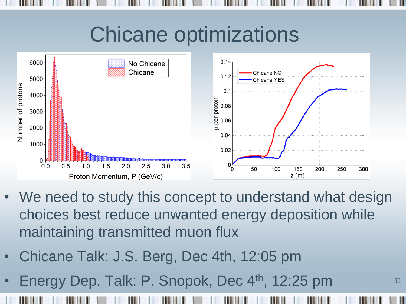# Chicane optimizations



- We need to study this concept to understand what design choices best reduce unwanted energy deposition while maintaining transmitted muon flux
- Chicane Talk: J.S. Berg, Dec 4th, 12:05 pm
- Energy Dep. Talk: P. Snopok, Dec 4<sup>th</sup>, 12:25 pm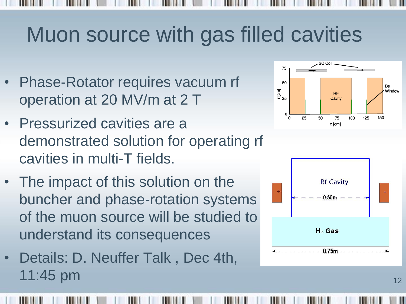### Muon source with gas filled cavities

- Phase-Rotator requires vacuum rf operation at 20 MV/m at 2 T
- Pressurized cavities are a demonstrated solution for operating rf cavities in multi-T fields.
- The impact of this solution on the buncher and phase-rotation systems of the muon source will be studied to understand its consequences
- Details: D. Neuffer Talk , Dec 4th, 11:45 pm



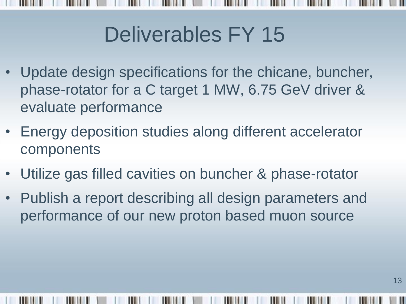# Deliverables FY 15

- Update design specifications for the chicane, buncher, phase-rotator for a C target 1 MW, 6.75 GeV driver & evaluate performance
- Energy deposition studies along different accelerator components
- Utilize gas filled cavities on buncher & phase-rotator
- Publish a report describing all design parameters and performance of our new proton based muon source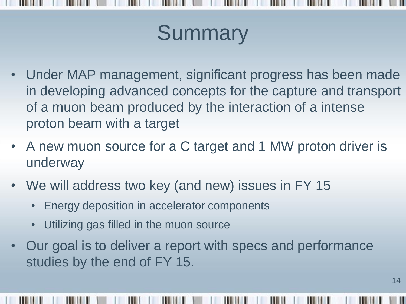# **Summary**

- Under MAP management, significant progress has been made in developing advanced concepts for the capture and transport of a muon beam produced by the interaction of a intense proton beam with a target
- A new muon source for a C target and 1 MW proton driver is underway
- We will address two key (and new) issues in FY 15
	- Energy deposition in accelerator components
	- Utilizing gas filled in the muon source
- Our goal is to deliver a report with specs and performance studies by the end of FY 15.